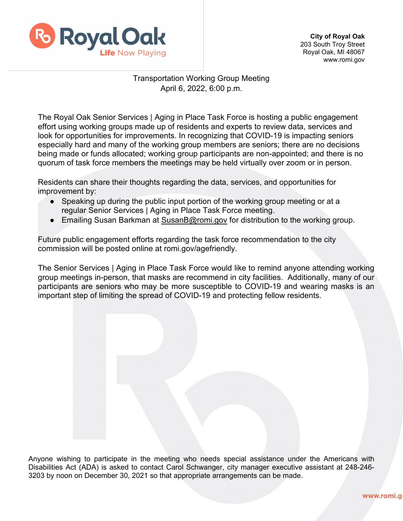

**City of Royal Oak**  203 South Troy Street Royal Oak, MI 48067 www.romi.gov

## Transportation Working Group Meeting April 6, 2022, 6:00 p.m.

The Royal Oak Senior Services | Aging in Place Task Force is hosting a public engagement effort using working groups made up of residents and experts to review data, services and look for opportunities for improvements. In recognizing that COVID-19 is impacting seniors especially hard and many of the working group members are seniors; there are no decisions being made or funds allocated; working group participants are non-appointed; and there is no quorum of task force members the meetings may be held virtually over zoom or in person.

Residents can share their thoughts regarding the data, services, and opportunities for improvement by:

- Speaking up during the public input portion of the working group meeting or at a regular Senior Services | Aging in Place Task Force meeting.
- Emailing Susan Barkman at [SusanB@romi.gov](mailto:SusanB@romi.gov) for distribution to the working group.

Future public engagement efforts regarding the task force recommendation to the city commission will be posted online at romi.gov/agefriendly.

The Senior Services | Aging in Place Task Force would like to remind anyone attending working group meetings in-person, that masks are recommend in city facilities. Additionally, many of our participants are seniors who may be more susceptible to COVID-19 and wearing masks is an important step of limiting the spread of COVID-19 and protecting fellow residents.

Anyone wishing to participate in the meeting who needs special assistance under the Americans with Disabilities Act (ADA) is asked to contact Carol Schwanger, city manager executive assistant at 248-246- 3203 by noon on December 30, 2021 so that appropriate arrangements can be made.